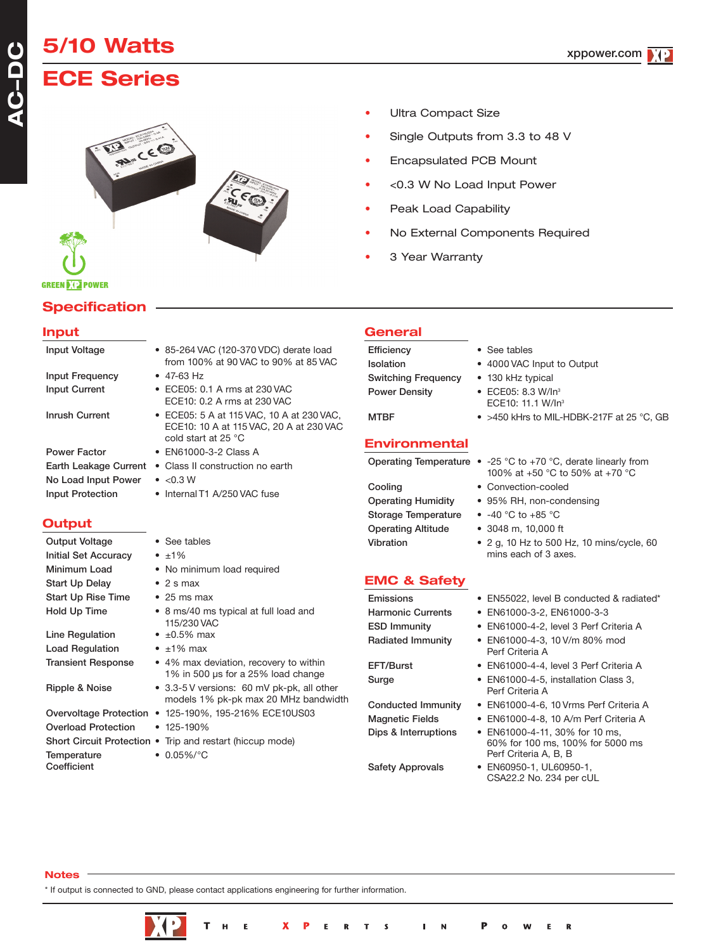# **5/10 Watts ECE Series**

**Specification**

**GREEN DIE POWER** 



## • Ultra Compact Size

- Single Outputs from 3.3 to 48 V
- Encapsulated PCB Mount
- <0.3 W No Load Input Power
- Peak Load Capability
- No External Components Required
- 3 Year Warranty

| <b>Input</b>                                                                                   |                                                                                                                                                                                                                                                              | General                                                                                      |                                                                                                                                                                                                   |
|------------------------------------------------------------------------------------------------|--------------------------------------------------------------------------------------------------------------------------------------------------------------------------------------------------------------------------------------------------------------|----------------------------------------------------------------------------------------------|---------------------------------------------------------------------------------------------------------------------------------------------------------------------------------------------------|
| Input Voltage<br>Input Frequency<br><b>Input Current</b><br><b>Inrush Current</b>              | • 85-264 VAC (120-370 VDC) derate load<br>from 100% at 90 VAC to 90% at 85 VAC<br>$\bullet$ 47-63 Hz<br>• ECE05: 0.1 A rms at 230 VAC<br>ECE10: 0.2 A rms at 230 VAC<br>• ECE05: 5 A at 115 VAC, 10 A at 230 VAC,<br>ECE10: 10 A at 115 VAC, 20 A at 230 VAC | Efficiency<br>Isolation<br><b>Switching Frequency</b><br><b>Power Density</b><br><b>MTBF</b> | • See tables<br>• 4000 VAC Input to Output<br>• 130 kHz typical<br>• ECE05: 8.3 W/In <sup>3</sup><br>ECE10: 11.1 W/In <sup>3</sup><br>• >450 kHrs to MIL-HDBK-217F at 25 °C, 0                    |
| <b>Power Factor</b><br>Earth Leakage Current<br>No Load Input Power<br><b>Input Protection</b> | cold start at 25 °C<br>• EN61000-3-2 Class A<br>• Class II construction no earth<br>$\bullet$ <0.3 W<br>• Internal T1 A/250 VAC fuse                                                                                                                         | <b>Environmental</b><br>Cooling<br><b>Operating Humidity</b>                                 | Operating Temperature $\bullet$ -25 °C to +70 °C, derate linearly from<br>100% at +50 °C to 50% at +70 °C<br>• Convection-cooled<br>• 95% RH, non-condensing                                      |
| Output                                                                                         |                                                                                                                                                                                                                                                              | <b>Storage Temperature</b><br><b>Operating Altitude</b>                                      | • $-40 °C$ to $+85 °C$<br>• 3048 m, 10,000 ft                                                                                                                                                     |
| Output Voltage<br><b>Initial Set Accuracy</b><br>Minimum Load                                  | • See tables<br>$\cdot$ $\pm 1\%$<br>• No minimum load required                                                                                                                                                                                              | Vibration                                                                                    | • 2 g, 10 Hz to 500 Hz, 10 mins/cycle, 60<br>mins each of 3 axes.                                                                                                                                 |
| <b>Start Up Delay</b>                                                                          | $\bullet$ 2 s max                                                                                                                                                                                                                                            | <b>EMC &amp; Safety</b>                                                                      |                                                                                                                                                                                                   |
| <b>Start Up Rise Time</b><br>Hold Up Time<br>Line Regulation<br><b>Load Regulation</b>         | $\bullet$ 25 ms max<br>• 8 ms/40 ms typical at full load and<br>115/230 VAC<br>$\bullet$ ±0.5% max<br>$\cdot$ ±1% max                                                                                                                                        | Emissions<br><b>Harmonic Currents</b><br><b>ESD Immunity</b><br><b>Radiated Immunity</b>     | • EN55022, level B conducted & radiated'<br>• EN61000-3-2, EN61000-3-3<br>• EN61000-4-2, level 3 Perf Criteria A<br>• EN61000-4-3, 10 V/m 80% mod<br>Perf Criteria A                              |
| <b>Transient Response</b><br>Ripple & Noise                                                    | • 4% max deviation, recovery to within<br>1% in 500 µs for a 25% load change<br>• 3.3-5 V versions: 60 mV pk-pk, all other                                                                                                                                   | EFT/Burst<br>Surge                                                                           | • EN61000-4-4, level 3 Perf Criteria A<br>• EN61000-4-5, installation Class 3,                                                                                                                    |
| <b>Overload Protection</b><br>Temperature                                                      | models 1% pk-pk max 20 MHz bandwidth<br>Overvoltage Protection • 125-190%, 195-216% ECE10US03<br>$\bullet$ 125-190%<br>Short Circuit Protection • Trip and restart (hiccup mode)<br>$\bullet$ 0.05%/°C                                                       | <b>Conducted Immunity</b><br><b>Magnetic Fields</b><br>Dips & Interruptions                  | Perf Criteria A<br>• EN61000-4-6, 10 Vrms Perf Criteria A<br>• EN61000-4-8, 10 A/m Perf Criteria A<br>• EN61000-4-11, 30% for 10 ms,<br>60% for 100 ms, 100% for 5000 ms<br>Perf Criteria A, B, B |

**Coefficient** 

### **Notes**

\* If output is connected to GND, please contact applications engineering for further information.



- $25 °C$ , GB
- 100% at +50 °C to 50% at +70 °C
- 

- 
- 
- 
- 
- -
- 60% for 100 ms, 100% for 5000 ms Perf Criteria A, B, B
- Safety Approvals EN60950-1, UL60950-1, CSA22.2 No. 234 per cUL